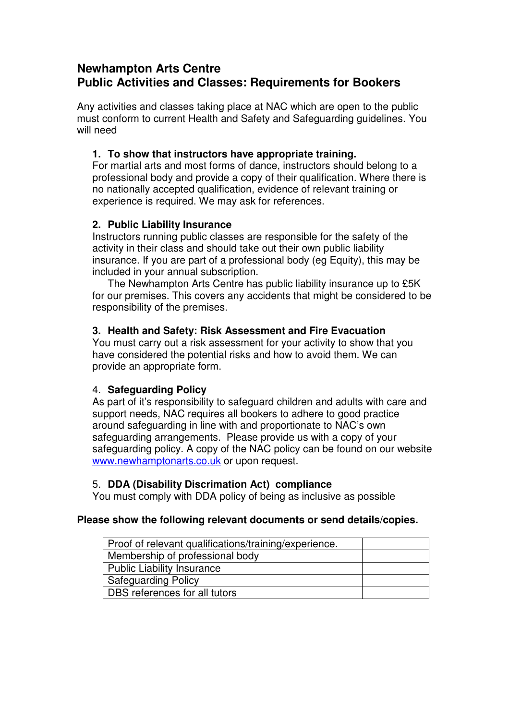# **Newhampton Arts Centre Public Activities and Classes: Requirements for Bookers**

Any activities and classes taking place at NAC which are open to the public must conform to current Health and Safety and Safeguarding guidelines. You will need

## **1. To show that instructors have appropriate training.**

For martial arts and most forms of dance, instructors should belong to a professional body and provide a copy of their qualification. Where there is no nationally accepted qualification, evidence of relevant training or experience is required. We may ask for references.

# **2. Public Liability Insurance**

Instructors running public classes are responsible for the safety of the activity in their class and should take out their own public liability insurance. If you are part of a professional body (eg Equity), this may be included in your annual subscription.

The Newhampton Arts Centre has public liability insurance up to £5K for our premises. This covers any accidents that might be considered to be responsibility of the premises.

## **3. Health and Safety: Risk Assessment and Fire Evacuation**

You must carry out a risk assessment for your activity to show that you have considered the potential risks and how to avoid them. We can provide an appropriate form.

## 4. **Safeguarding Policy**

As part of it's responsibility to safeguard children and adults with care and support needs, NAC requires all bookers to adhere to good practice around safeguarding in line with and proportionate to NAC's own safeguarding arrangements. Please provide us with a copy of your safeguarding policy. A copy of the NAC policy can be found on our website www.newhamptonarts.co.uk or upon request.

## 5. **DDA (Disability Discrimation Act) compliance**

You must comply with DDA policy of being as inclusive as possible

## **Please show the following relevant documents or send details/copies.**

| Proof of relevant qualifications/training/experience. |  |
|-------------------------------------------------------|--|
| Membership of professional body                       |  |
| <b>Public Liability Insurance</b>                     |  |
| <b>Safeguarding Policy</b>                            |  |
| DBS references for all tutors                         |  |